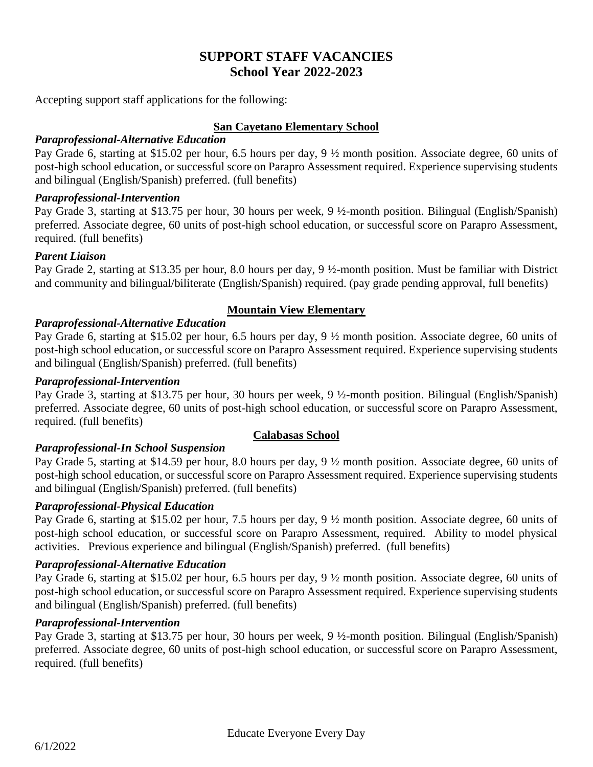# **SUPPORT STAFF VACANCIES School Year 2022-2023**

Accepting support staff applications for the following:

### **San Cayetano Elementary School**

### *Paraprofessional-Alternative Education*

Pay Grade 6, starting at \$15.02 per hour, 6.5 hours per day, 9 ½ month position. Associate degree, 60 units of post-high school education, or successful score on Parapro Assessment required. Experience supervising students and bilingual (English/Spanish) preferred. (full benefits)

#### *Paraprofessional-Intervention*

Pay Grade 3, starting at \$13.75 per hour, 30 hours per week, 9 ½-month position. Bilingual (English/Spanish) preferred. Associate degree, 60 units of post-high school education, or successful score on Parapro Assessment, required. (full benefits)

### *Parent Liaison*

Pay Grade 2, starting at \$13.35 per hour, 8.0 hours per day, 9 ½-month position. Must be familiar with District and community and bilingual/biliterate (English/Spanish) required. (pay grade pending approval, full benefits)

### **Mountain View Elementary**

# *Paraprofessional-Alternative Education*

Pay Grade 6, starting at \$15.02 per hour, 6.5 hours per day, 9 ½ month position. Associate degree, 60 units of post-high school education, or successful score on Parapro Assessment required. Experience supervising students and bilingual (English/Spanish) preferred. (full benefits)

### *Paraprofessional-Intervention*

Pay Grade 3, starting at \$13.75 per hour, 30 hours per week, 9 ½-month position. Bilingual (English/Spanish) preferred. Associate degree, 60 units of post-high school education, or successful score on Parapro Assessment, required. (full benefits)

#### **Calabasas School**

# *Paraprofessional-In School Suspension*

Pay Grade 5, starting at \$14.59 per hour, 8.0 hours per day, 9 ½ month position. Associate degree, 60 units of post-high school education, or successful score on Parapro Assessment required. Experience supervising students and bilingual (English/Spanish) preferred. (full benefits)

# *Paraprofessional-Physical Education*

Pay Grade 6, starting at \$15.02 per hour, 7.5 hours per day, 9 ½ month position. Associate degree, 60 units of post-high school education, or successful score on Parapro Assessment, required. Ability to model physical activities. Previous experience and bilingual (English/Spanish) preferred. (full benefits)

# *Paraprofessional-Alternative Education*

Pay Grade 6, starting at \$15.02 per hour, 6.5 hours per day, 9 ½ month position. Associate degree, 60 units of post-high school education, or successful score on Parapro Assessment required. Experience supervising students and bilingual (English/Spanish) preferred. (full benefits)

### *Paraprofessional-Intervention*

Pay Grade 3, starting at \$13.75 per hour, 30 hours per week, 9 ½-month position. Bilingual (English/Spanish) preferred. Associate degree, 60 units of post-high school education, or successful score on Parapro Assessment, required. (full benefits)